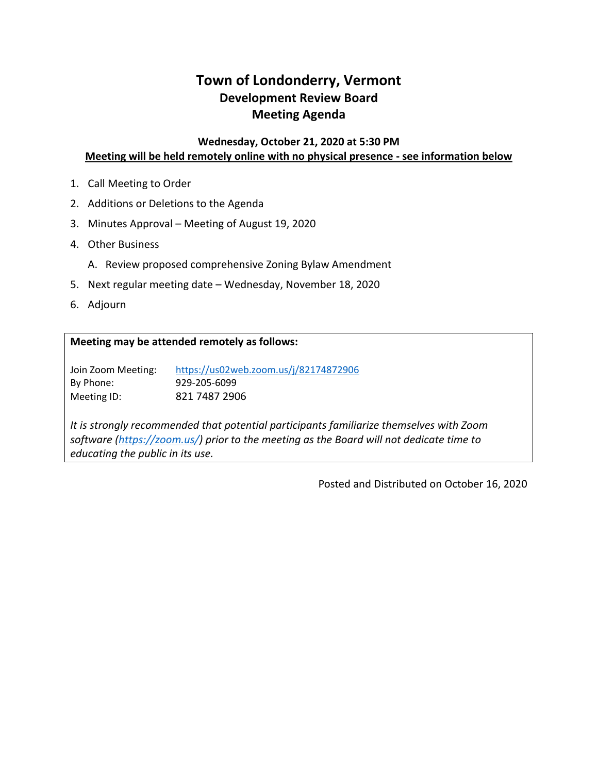# **Town of Londonderry, Vermont Development Review Board Meeting Agenda**

### **Wednesday, October 21, 2020 at 5:30 PM Meeting will be held remotely online with no physical presence - see information below**

- 1. Call Meeting to Order
- 2. Additions or Deletions to the Agenda
- 3. Minutes Approval Meeting of August 19, 2020
- 4. Other Business
	- A. Review proposed comprehensive Zoning Bylaw Amendment
- 5. Next regular meeting date Wednesday, November 18, 2020
- 6. Adjourn

#### **Meeting may be attended remotely as follows:**

Join Zoom Meeting: <https://us02web.zoom.us/j/82174872906> By Phone: 929-205-6099 Meeting ID: 821 7487 2906

*It is strongly recommended that potential participants familiarize themselves with Zoom software [\(https://zoom.us/\)](https://zoom.us/) prior to the meeting as the Board will not dedicate time to educating the public in its use.* 

Posted and Distributed on October 16, 2020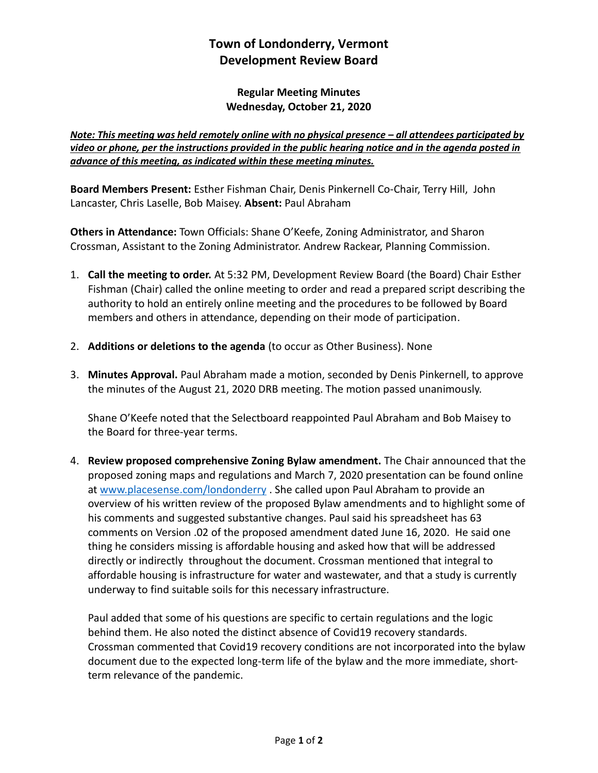## **Town of Londonderry, Vermont Development Review Board**

#### **Regular Meeting Minutes Wednesday, October 21, 2020**

*Note: This meeting was held remotely online with no physical presence – all attendees participated by video or phone, per the instructions provided in the public hearing notice and in the agenda posted in advance of this meeting, as indicated within these meeting minutes.* 

**Board Members Present:** Esther Fishman Chair, Denis Pinkernell Co-Chair, Terry Hill, John Lancaster, Chris Laselle, Bob Maisey. **Absent:** Paul Abraham

**Others in Attendance:** Town Officials: Shane O'Keefe, Zoning Administrator, and Sharon Crossman, Assistant to the Zoning Administrator. Andrew Rackear, Planning Commission.

- 1. **Call the meeting to order.** At 5:32 PM, Development Review Board (the Board) Chair Esther Fishman (Chair) called the online meeting to order and read a prepared script describing the authority to hold an entirely online meeting and the procedures to be followed by Board members and others in attendance, depending on their mode of participation.
- 2. **Additions or deletions to the agenda** (to occur as Other Business). None
- 3. **Minutes Approval.** Paul Abraham made a motion, seconded by Denis Pinkernell, to approve the minutes of the August 21, 2020 DRB meeting. The motion passed unanimously.

Shane O'Keefe noted that the Selectboard reappointed Paul Abraham and Bob Maisey to the Board for three-year terms.

4. **Review proposed comprehensive Zoning Bylaw amendment.** The Chair announced that the proposed zoning maps and regulations and March 7, 2020 presentation can be found online at [www.placesense.com/londonderry](http://www.placesense.com/londonderry) . She called upon Paul Abraham to provide an overview of his written review of the proposed Bylaw amendments and to highlight some of his comments and suggested substantive changes. Paul said his spreadsheet has 63 comments on Version .02 of the proposed amendment dated June 16, 2020. He said one thing he considers missing is affordable housing and asked how that will be addressed directly or indirectly throughout the document. Crossman mentioned that integral to affordable housing is infrastructure for water and wastewater, and that a study is currently underway to find suitable soils for this necessary infrastructure.

Paul added that some of his questions are specific to certain regulations and the logic behind them. He also noted the distinct absence of Covid19 recovery standards. Crossman commented that Covid19 recovery conditions are not incorporated into the bylaw document due to the expected long-term life of the bylaw and the more immediate, shortterm relevance of the pandemic.